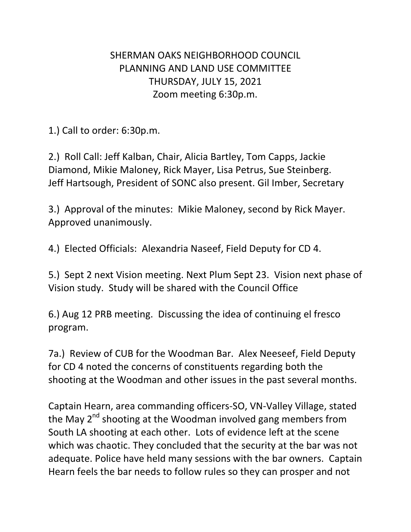## SHERMAN OAKS NEIGHBORHOOD COUNCIL PLANNING AND LAND USE COMMITTEE THURSDAY, JULY 15, 2021 Zoom meeting 6:30p.m.

1.) Call to order: 6:30p.m.

2.) Roll Call: Jeff Kalban, Chair, Alicia Bartley, Tom Capps, Jackie Diamond, Mikie Maloney, Rick Mayer, Lisa Petrus, Sue Steinberg. Jeff Hartsough, President of SONC also present. Gil Imber, Secretary

3.) Approval of the minutes: Mikie Maloney, second by Rick Mayer. Approved unanimously.

4.) Elected Officials: Alexandria Naseef, Field Deputy for CD 4.

5.) Sept 2 next Vision meeting. Next Plum Sept 23. Vision next phase of Vision study. Study will be shared with the Council Office

6.) Aug 12 PRB meeting. Discussing the idea of continuing el fresco program.

7a.) Review of CUB for the Woodman Bar. Alex Neeseef, Field Deputy for CD 4 noted the concerns of constituents regarding both the shooting at the Woodman and other issues in the past several months.

Captain Hearn, area commanding officers-SO, VN-Valley Village, stated the May 2<sup>nd</sup> shooting at the Woodman involved gang members from South LA shooting at each other. Lots of evidence left at the scene which was chaotic. They concluded that the security at the bar was not adequate. Police have held many sessions with the bar owners. Captain Hearn feels the bar needs to follow rules so they can prosper and not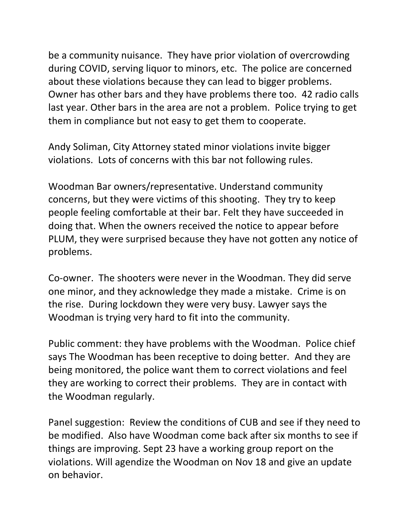be a community nuisance. They have prior violation of overcrowding during COVID, serving liquor to minors, etc. The police are concerned about these violations because they can lead to bigger problems. Owner has other bars and they have problems there too. 42 radio calls last year. Other bars in the area are not a problem. Police trying to get them in compliance but not easy to get them to cooperate.

Andy Soliman, City Attorney stated minor violations invite bigger violations. Lots of concerns with this bar not following rules.

Woodman Bar owners/representative. Understand community concerns, but they were victims of this shooting. They try to keep people feeling comfortable at their bar. Felt they have succeeded in doing that. When the owners received the notice to appear before PLUM, they were surprised because they have not gotten any notice of problems.

Co-owner. The shooters were never in the Woodman. They did serve one minor, and they acknowledge they made a mistake. Crime is on the rise. During lockdown they were very busy. Lawyer says the Woodman is trying very hard to fit into the community.

Public comment: they have problems with the Woodman. Police chief says The Woodman has been receptive to doing better. And they are being monitored, the police want them to correct violations and feel they are working to correct their problems. They are in contact with the Woodman regularly.

Panel suggestion: Review the conditions of CUB and see if they need to be modified. Also have Woodman come back after six months to see if things are improving. Sept 23 have a working group report on the violations. Will agendize the Woodman on Nov 18 and give an update on behavior.